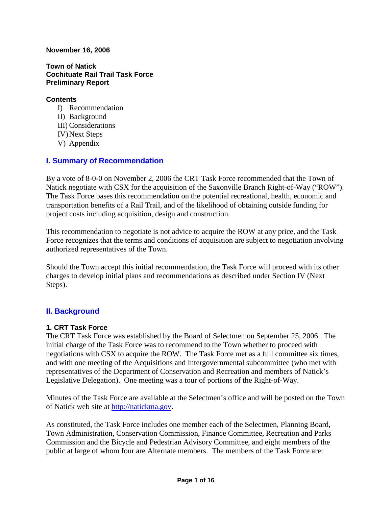#### **November 16, 2006**

**Town of Natick Cochituate Rail Trail Task Force Preliminary Report** 

#### **Contents**

I) Recommendation II) Background III) Considerations IV) Next Steps V) Appendix

# **I. Summary of Recommendation**

By a vote of 8-0-0 on November 2, 2006 the CRT Task Force recommended that the Town of Natick negotiate with CSX for the acquisition of the Saxonville Branch Right-of-Way ("ROW"). The Task Force bases this recommendation on the potential recreational, health, economic and transportation benefits of a Rail Trail, and of the likelihood of obtaining outside funding for project costs including acquisition, design and construction.

This recommendation to negotiate is not advice to acquire the ROW at any price, and the Task Force recognizes that the terms and conditions of acquisition are subject to negotiation involving authorized representatives of the Town.

Should the Town accept this initial recommendation, the Task Force will proceed with its other charges to develop initial plans and recommendations as described under Section IV (Next Steps).

# **II. Background**

#### **1. CRT Task Force**

The CRT Task Force was established by the Board of Selectmen on September 25, 2006. The initial charge of the Task Force was to recommend to the Town whether to proceed with negotiations with CSX to acquire the ROW. The Task Force met as a full committee six times, and with one meeting of the Acquisitions and Intergovernmental subcommittee (who met with representatives of the Department of Conservation and Recreation and members of Natick's Legislative Delegation). One meeting was a tour of portions of the Right-of-Way.

Minutes of the Task Force are available at the Selectmen's office and will be posted on the Town of Natick web site at http://natickma.gov.

As constituted, the Task Force includes one member each of the Selectmen, Planning Board, Town Administration, Conservation Commission, Finance Committee, Recreation and Parks Commission and the Bicycle and Pedestrian Advisory Committee, and eight members of the public at large of whom four are Alternate members. The members of the Task Force are: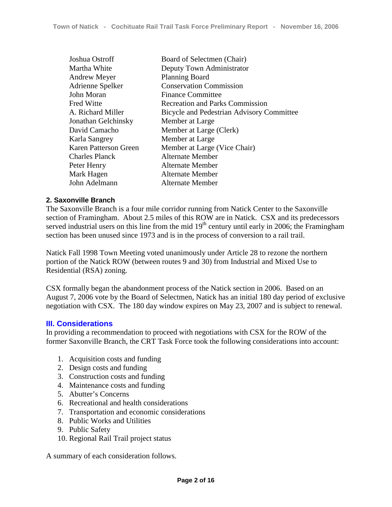| Joshua Ostroff               | Board of Selectmen (Chair)                |
|------------------------------|-------------------------------------------|
| Martha White                 | Deputy Town Administrator                 |
| <b>Andrew Meyer</b>          | <b>Planning Board</b>                     |
| Adrienne Spelker             | <b>Conservation Commission</b>            |
| John Moran                   | <b>Finance Committee</b>                  |
| <b>Fred Witte</b>            | <b>Recreation and Parks Commission</b>    |
| A. Richard Miller            | Bicycle and Pedestrian Advisory Committee |
| Jonathan Gelchinsky          | Member at Large                           |
| David Camacho                | Member at Large (Clerk)                   |
| Karla Sangrey                | Member at Large                           |
| <b>Karen Patterson Green</b> | Member at Large (Vice Chair)              |
| <b>Charles Planck</b>        | Alternate Member                          |
| Peter Henry                  | <b>Alternate Member</b>                   |
| Mark Hagen                   | <b>Alternate Member</b>                   |
| John Adelmann                | <b>Alternate Member</b>                   |

#### **2. Saxonville Branch**

The Saxonville Branch is a four mile corridor running from Natick Center to the Saxonville section of Framingham. About 2.5 miles of this ROW are in Natick. CSX and its predecessors served industrial users on this line from the mid  $19<sup>th</sup>$  century until early in 2006; the Framingham section has been unused since 1973 and is in the process of conversion to a rail trail.

Natick Fall 1998 Town Meeting voted unanimously under Article 28 to rezone the northern portion of the Natick ROW (between routes 9 and 30) from Industrial and Mixed Use to Residential (RSA) zoning.

CSX formally began the abandonment process of the Natick section in 2006. Based on an August 7, 2006 vote by the Board of Selectmen, Natick has an initial 180 day period of exclusive negotiation with CSX. The 180 day window expires on May 23, 2007 and is subject to renewal.

#### **III. Considerations**

In providing a recommendation to proceed with negotiations with CSX for the ROW of the former Saxonville Branch, the CRT Task Force took the following considerations into account:

- 1. Acquisition costs and funding
- 2. Design costs and funding
- 3. Construction costs and funding
- 4. Maintenance costs and funding
- 5. Abutter's Concerns
- 6. Recreational and health considerations
- 7. Transportation and economic considerations
- 8. Public Works and Utilities
- 9. Public Safety
- 10. Regional Rail Trail project status

A summary of each consideration follows.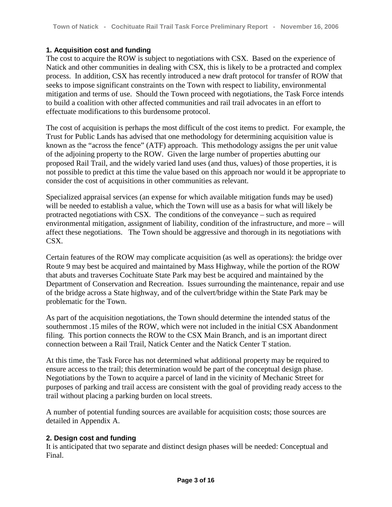## **1. Acquisition cost and funding**

The cost to acquire the ROW is subject to negotiations with CSX. Based on the experience of Natick and other communities in dealing with CSX, this is likely to be a protracted and complex process. In addition, CSX has recently introduced a new draft protocol for transfer of ROW that seeks to impose significant constraints on the Town with respect to liability, environmental mitigation and terms of use. Should the Town proceed with negotiations, the Task Force intends to build a coalition with other affected communities and rail trail advocates in an effort to effectuate modifications to this burdensome protocol.

The cost of acquisition is perhaps the most difficult of the cost items to predict. For example, the Trust for Public Lands has advised that one methodology for determining acquisition value is known as the "across the fence" (ATF) approach. This methodology assigns the per unit value of the adjoining property to the ROW. Given the large number of properties abutting our proposed Rail Trail, and the widely varied land uses (and thus, values) of those properties, it is not possible to predict at this time the value based on this approach nor would it be appropriate to consider the cost of acquisitions in other communities as relevant.

Specialized appraisal services (an expense for which available mitigation funds may be used) will be needed to establish a value, which the Town will use as a basis for what will likely be protracted negotiations with CSX. The conditions of the conveyance – such as required environmental mitigation, assignment of liability, condition of the infrastructure, and more – will affect these negotiations. The Town should be aggressive and thorough in its negotiations with CSX.

Certain features of the ROW may complicate acquisition (as well as operations): the bridge over Route 9 may best be acquired and maintained by Mass Highway, while the portion of the ROW that abuts and traverses Cochituate State Park may best be acquired and maintained by the Department of Conservation and Recreation. Issues surrounding the maintenance, repair and use of the bridge across a State highway, and of the culvert/bridge within the State Park may be problematic for the Town.

As part of the acquisition negotiations, the Town should determine the intended status of the southernmost .15 miles of the ROW, which were not included in the initial CSX Abandonment filing. This portion connects the ROW to the CSX Main Branch, and is an important direct connection between a Rail Trail, Natick Center and the Natick Center T station.

At this time, the Task Force has not determined what additional property may be required to ensure access to the trail; this determination would be part of the conceptual design phase. Negotiations by the Town to acquire a parcel of land in the vicinity of Mechanic Street for purposes of parking and trail access are consistent with the goal of providing ready access to the trail without placing a parking burden on local streets.

A number of potential funding sources are available for acquisition costs; those sources are detailed in Appendix A.

#### **2. Design cost and funding**

It is anticipated that two separate and distinct design phases will be needed: Conceptual and Final.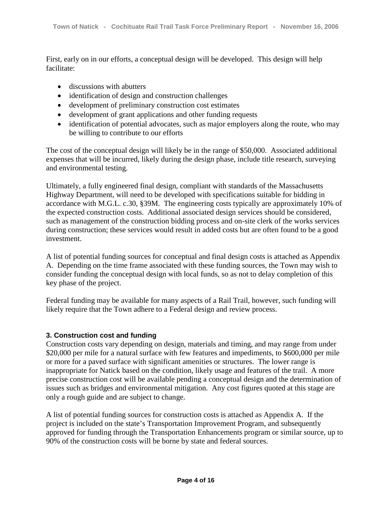First, early on in our efforts, a conceptual design will be developed. This design will help facilitate:

- discussions with abutters
- identification of design and construction challenges
- development of preliminary construction cost estimates
- development of grant applications and other funding requests
- identification of potential advocates, such as major employers along the route, who may be willing to contribute to our efforts

The cost of the conceptual design will likely be in the range of \$50,000. Associated additional expenses that will be incurred, likely during the design phase, include title research, surveying and environmental testing.

Ultimately, a fully engineered final design, compliant with standards of the Massachusetts Highway Department, will need to be developed with specifications suitable for bidding in accordance with M.G.L. c.30, §39M. The engineering costs typically are approximately 10% of the expected construction costs. Additional associated design services should be considered, such as management of the construction bidding process and on-site clerk of the works services during construction; these services would result in added costs but are often found to be a good investment.

A list of potential funding sources for conceptual and final design costs is attached as Appendix A. Depending on the time frame associated with these funding sources, the Town may wish to consider funding the conceptual design with local funds, so as not to delay completion of this key phase of the project.

Federal funding may be available for many aspects of a Rail Trail, however, such funding will likely require that the Town adhere to a Federal design and review process.

#### **3. Construction cost and funding**

Construction costs vary depending on design, materials and timing, and may range from under \$20,000 per mile for a natural surface with few features and impediments, to \$600,000 per mile or more for a paved surface with significant amenities or structures. The lower range is inappropriate for Natick based on the condition, likely usage and features of the trail. A more precise construction cost will be available pending a conceptual design and the determination of issues such as bridges and environmental mitigation. Any cost figures quoted at this stage are only a rough guide and are subject to change.

A list of potential funding sources for construction costs is attached as Appendix A. If the project is included on the state's Transportation Improvement Program, and subsequently approved for funding through the Transportation Enhancements program or similar source, up to 90% of the construction costs will be borne by state and federal sources.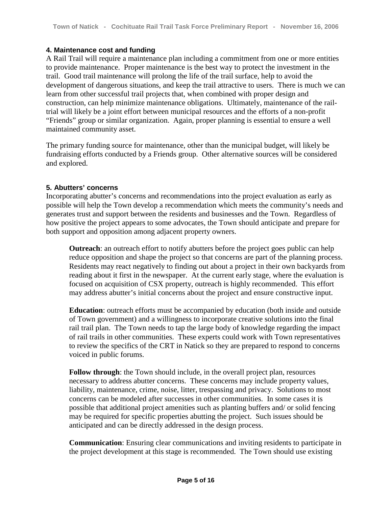## **4. Maintenance cost and funding**

A Rail Trail will require a maintenance plan including a commitment from one or more entities to provide maintenance. Proper maintenance is the best way to protect the investment in the trail. Good trail maintenance will prolong the life of the trail surface, help to avoid the development of dangerous situations, and keep the trail attractive to users. There is much we can learn from other successful trail projects that, when combined with proper design and construction, can help minimize maintenance obligations. Ultimately, maintenance of the railtrial will likely be a joint effort between municipal resources and the efforts of a non-profit "Friends" group or similar organization. Again, proper planning is essential to ensure a well maintained community asset.

The primary funding source for maintenance, other than the municipal budget, will likely be fundraising efforts conducted by a Friends group. Other alternative sources will be considered and explored.

## **5. Abutters' concerns**

Incorporating abutter's concerns and recommendations into the project evaluation as early as possible will help the Town develop a recommendation which meets the community's needs and generates trust and support between the residents and businesses and the Town. Regardless of how positive the project appears to some advocates, the Town should anticipate and prepare for both support and opposition among adjacent property owners.

**Outreach**: an outreach effort to notify abutters before the project goes public can help reduce opposition and shape the project so that concerns are part of the planning process. Residents may react negatively to finding out about a project in their own backyards from reading about it first in the newspaper. At the current early stage, where the evaluation is focused on acquisition of CSX property, outreach is highly recommended. This effort may address abutter's initial concerns about the project and ensure constructive input.

**Education**: outreach efforts must be accompanied by education (both inside and outside of Town government) and a willingness to incorporate creative solutions into the final rail trail plan. The Town needs to tap the large body of knowledge regarding the impact of rail trails in other communities. These experts could work with Town representatives to review the specifics of the CRT in Natick so they are prepared to respond to concerns voiced in public forums.

**Follow through:** the Town should include, in the overall project plan, resources necessary to address abutter concerns. These concerns may include property values, liability, maintenance, crime, noise, litter, trespassing and privacy. Solutions to most concerns can be modeled after successes in other communities. In some cases it is possible that additional project amenities such as planting buffers and/ or solid fencing may be required for specific properties abutting the project. Such issues should be anticipated and can be directly addressed in the design process.

**Communication**: Ensuring clear communications and inviting residents to participate in the project development at this stage is recommended. The Town should use existing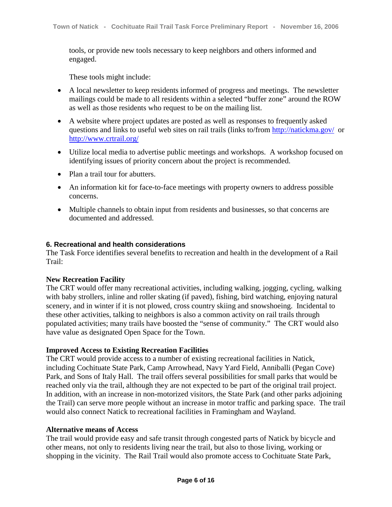tools, or provide new tools necessary to keep neighbors and others informed and engaged.

These tools might include:

- A local newsletter to keep residents informed of progress and meetings. The newsletter mailings could be made to all residents within a selected "buffer zone" around the ROW as well as those residents who request to be on the mailing list.
- A website where project updates are posted as well as responses to frequently asked questions and links to useful web sites on rail trails (links to/from http://natickma.gov/ or http://www.crtrail.org/
- Utilize local media to advertise public meetings and workshops. A workshop focused on identifying issues of priority concern about the project is recommended.
- Plan a trail tour for abutters.
- An information kit for face-to-face meetings with property owners to address possible concerns.
- Multiple channels to obtain input from residents and businesses, so that concerns are documented and addressed.

#### **6. Recreational and health considerations**

The Task Force identifies several benefits to recreation and health in the development of a Rail Trail:

#### **New Recreation Facility**

The CRT would offer many recreational activities, including walking, jogging, cycling, walking with baby strollers, inline and roller skating (if paved), fishing, bird watching, enjoying natural scenery, and in winter if it is not plowed, cross country skiing and snowshoeing. Incidental to these other activities, talking to neighbors is also a common activity on rail trails through populated activities; many trails have boosted the "sense of community." The CRT would also have value as designated Open Space for the Town.

#### **Improved Access to Existing Recreation Facilities**

The CRT would provide access to a number of existing recreational facilities in Natick, including Cochituate State Park, Camp Arrowhead, Navy Yard Field, Anniballi (Pegan Cove) Park, and Sons of Italy Hall. The trail offers several possibilities for small parks that would be reached only via the trail, although they are not expected to be part of the original trail project. In addition, with an increase in non-motorized visitors, the State Park (and other parks adjoining the Trail) can serve more people without an increase in motor traffic and parking space. The trail would also connect Natick to recreational facilities in Framingham and Wayland.

#### **Alternative means of Access**

The trail would provide easy and safe transit through congested parts of Natick by bicycle and other means, not only to residents living near the trail, but also to those living, working or shopping in the vicinity. The Rail Trail would also promote access to Cochituate State Park,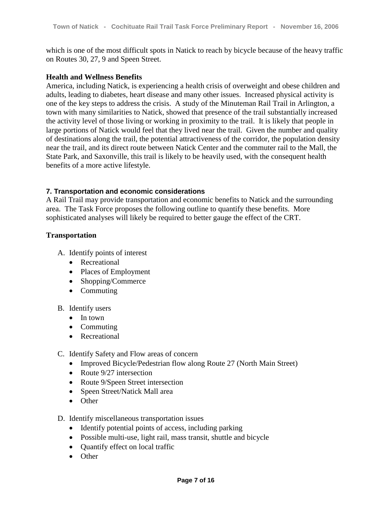which is one of the most difficult spots in Natick to reach by bicycle because of the heavy traffic on Routes 30, 27, 9 and Speen Street.

#### **Health and Wellness Benefits**

America, including Natick, is experiencing a health crisis of overweight and obese children and adults, leading to diabetes, heart disease and many other issues. Increased physical activity is one of the key steps to address the crisis. A study of the Minuteman Rail Trail in Arlington, a town with many similarities to Natick, showed that presence of the trail substantially increased the activity level of those living or working in proximity to the trail. It is likely that people in large portions of Natick would feel that they lived near the trail. Given the number and quality of destinations along the trail, the potential attractiveness of the corridor, the population density near the trail, and its direct route between Natick Center and the commuter rail to the Mall, the State Park, and Saxonville, this trail is likely to be heavily used, with the consequent health benefits of a more active lifestyle.

#### **7. Transportation and economic considerations**

A Rail Trail may provide transportation and economic benefits to Natick and the surrounding area. The Task Force proposes the following outline to quantify these benefits. More sophisticated analyses will likely be required to better gauge the effect of the CRT.

#### **Transportation**

- A. Identify points of interest
	- Recreational
	- Places of Employment
	- Shopping/Commerce
	- Commuting
- B. Identify users
	- In town
	- Commuting
	- Recreational
- C. Identify Safety and Flow areas of concern
	- Improved Bicycle/Pedestrian flow along Route 27 (North Main Street)
	- Route 9/27 intersection
	- Route 9/Speen Street intersection
	- Speen Street/Natick Mall area
	- Other
- D. Identify miscellaneous transportation issues
	- Identify potential points of access, including parking
	- Possible multi-use, light rail, mass transit, shuttle and bicycle
	- Quantify effect on local traffic
	- Other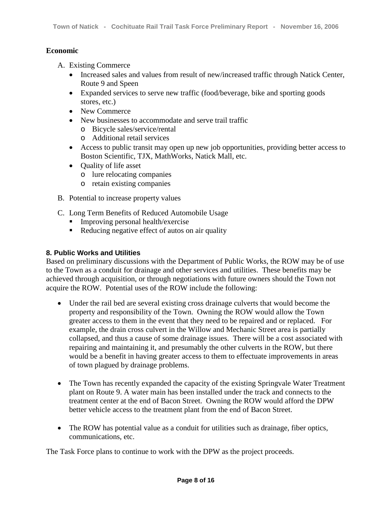## **Economic**

- A. Existing Commerce
	- Increased sales and values from result of new/increased traffic through Natick Center, Route 9 and Speen
	- Expanded services to serve new traffic (food/beverage, bike and sporting goods stores, etc.)
	- New Commerce
	- New businesses to accommodate and serve trail traffic
		- o Bicycle sales/service/rental
		- o Additional retail services
	- Access to public transit may open up new job opportunities, providing better access to Boston Scientific, TJX, MathWorks, Natick Mall, etc.
	- Ouality of life asset
		- o lure relocating companies
		- o retain existing companies
- B. Potential to increase property values
- C. Long Term Benefits of Reduced Automobile Usage
	- **Improving personal health/exercise**
	- ! Reducing negative effect of autos on air quality

#### **8. Public Works and Utilities**

Based on preliminary discussions with the Department of Public Works, the ROW may be of use to the Town as a conduit for drainage and other services and utilities. These benefits may be achieved through acquisition, or through negotiations with future owners should the Town not acquire the ROW. Potential uses of the ROW include the following:

- Under the rail bed are several existing cross drainage culverts that would become the property and responsibility of the Town. Owning the ROW would allow the Town greater access to them in the event that they need to be repaired and or replaced. For example, the drain cross culvert in the Willow and Mechanic Street area is partially collapsed, and thus a cause of some drainage issues. There will be a cost associated with repairing and maintaining it, and presumably the other culverts in the ROW, but there would be a benefit in having greater access to them to effectuate improvements in areas of town plagued by drainage problems.
- The Town has recently expanded the capacity of the existing Springvale Water Treatment plant on Route 9. A water main has been installed under the track and connects to the treatment center at the end of Bacon Street. Owning the ROW would afford the DPW better vehicle access to the treatment plant from the end of Bacon Street.
- The ROW has potential value as a conduit for utilities such as drainage, fiber optics, communications, etc.

The Task Force plans to continue to work with the DPW as the project proceeds.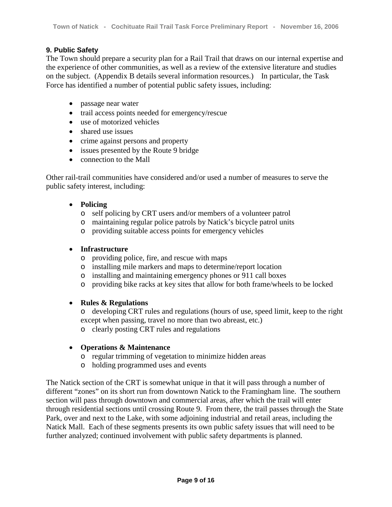## **9. Public Safety**

The Town should prepare a security plan for a Rail Trail that draws on our internal expertise and the experience of other communities, as well as a review of the extensive literature and studies on the subject. (Appendix B details several information resources.) In particular, the Task Force has identified a number of potential public safety issues, including:

- passage near water
- trail access points needed for emergency/rescue
- use of motorized vehicles
- shared use issues
- crime against persons and property
- issues presented by the Route 9 bridge
- connection to the Mall

Other rail-trail communities have considered and/or used a number of measures to serve the public safety interest, including:

## • **Policing**

- o self policing by CRT users and/or members of a volunteer patrol
- o maintaining regular police patrols by Natick's bicycle patrol units
- o providing suitable access points for emergency vehicles

## • **Infrastructure**

- o providing police, fire, and rescue with maps
- o installing mile markers and maps to determine/report location
- o installing and maintaining emergency phones or 911 call boxes
- o providing bike racks at key sites that allow for both frame/wheels to be locked

#### • **Rules & Regulations**

- o developing CRT rules and regulations (hours of use, speed limit, keep to the right except when passing, travel no more than two abreast, etc.)
- o clearly posting CRT rules and regulations

#### • **Operations & Maintenance**

- o regular trimming of vegetation to minimize hidden areas
- o holding programmed uses and events

The Natick section of the CRT is somewhat unique in that it will pass through a number of different "zones" on its short run from downtown Natick to the Framingham line. The southern section will pass through downtown and commercial areas, after which the trail will enter through residential sections until crossing Route 9. From there, the trail passes through the State Park, over and next to the Lake, with some adjoining industrial and retail areas, including the Natick Mall. Each of these segments presents its own public safety issues that will need to be further analyzed; continued involvement with public safety departments is planned.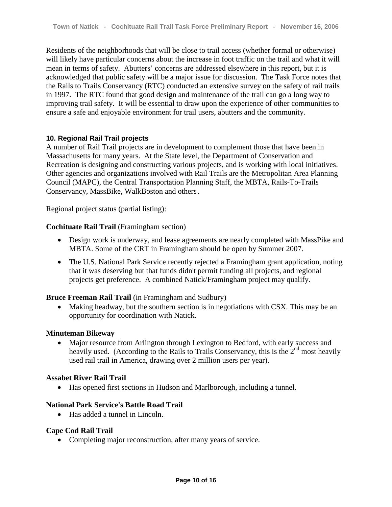Residents of the neighborhoods that will be close to trail access (whether formal or otherwise) will likely have particular concerns about the increase in foot traffic on the trail and what it will mean in terms of safety. Abutters' concerns are addressed elsewhere in this report, but it is acknowledged that public safety will be a major issue for discussion. The Task Force notes that the Rails to Trails Conservancy (RTC) conducted an extensive survey on the safety of rail trails in 1997. The RTC found that good design and maintenance of the trail can go a long way to improving trail safety. It will be essential to draw upon the experience of other communities to ensure a safe and enjoyable environment for trail users, abutters and the community.

## **10. Regional Rail Trail projects**

A number of Rail Trail projects are in development to complement those that have been in Massachusetts for many years. At the State level, the Department of Conservation and Recreation is designing and constructing various projects, and is working with local initiatives. Other agencies and organizations involved with Rail Trails are the Metropolitan Area Planning Council (MAPC), the Central Transportation Planning Staff, the MBTA, Rails-To-Trails Conservancy, MassBike, WalkBoston and others.

Regional project status (partial listing):

## **Cochituate Rail Trail** (Framingham section)

- Design work is underway, and lease agreements are nearly completed with MassPike and MBTA. Some of the CRT in Framingham should be open by Summer 2007.
- The U.S. National Park Service recently rejected a Framingham grant application, noting that it was deserving but that funds didn't permit funding all projects, and regional projects get preference. A combined Natick/Framingham project may qualify.

#### **Bruce Freeman Rail Trail** (in Framingham and Sudbury)

• Making headway, but the southern section is in negotiations with CSX. This may be an opportunity for coordination with Natick.

#### **Minuteman Bikeway**

• Major resource from Arlington through Lexington to Bedford, with early success and heavily used. (According to the Rails to Trails Conservancy, this is the  $2<sup>nd</sup>$  most heavily used rail trail in America, drawing over 2 million users per year).

#### **Assabet River Rail Trail**

• Has opened first sections in Hudson and Marlborough, including a tunnel.

## **National Park Service's Battle Road Trail**

• Has added a tunnel in Lincoln.

#### **Cape Cod Rail Trail**

• Completing major reconstruction, after many years of service.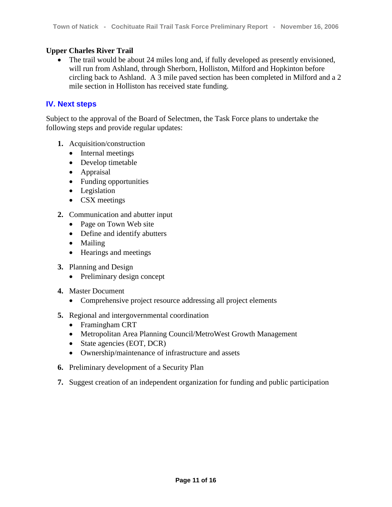## **Upper Charles River Trail**

• The trail would be about 24 miles long and, if fully developed as presently envisioned, will run from Ashland, through Sherborn, Holliston, Milford and Hopkinton before circling back to Ashland. A 3 mile paved section has been completed in Milford and a 2 mile section in Holliston has received state funding.

## **IV. Next steps**

Subject to the approval of the Board of Selectmen, the Task Force plans to undertake the following steps and provide regular updates:

- **1.** Acquisition/construction
	- Internal meetings
	- Develop timetable
	- Appraisal
	- Funding opportunities
	- Legislation
	- CSX meetings
- **2.** Communication and abutter input
	- Page on Town Web site
	- Define and identify abutters
	- Mailing
	- Hearings and meetings
- **3.** Planning and Design
	- Preliminary design concept
- **4.** Master Document
	- Comprehensive project resource addressing all project elements
- **5.** Regional and intergovernmental coordination
	- Framingham CRT
	- Metropolitan Area Planning Council/MetroWest Growth Management
	- State agencies (EOT, DCR)
	- Ownership/maintenance of infrastructure and assets
- **6.** Preliminary development of a Security Plan
- **7.** Suggest creation of an independent organization for funding and public participation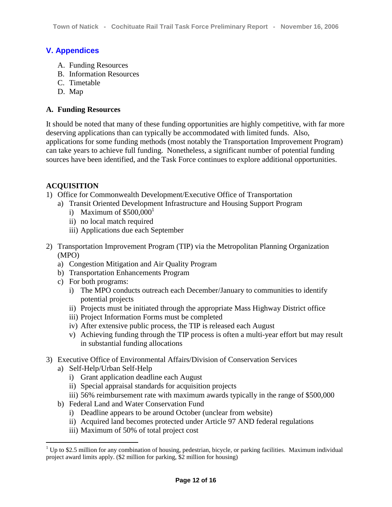# **V. Appendices**

- A. Funding Resources
- B. Information Resources
- C. Timetable
- D. Map

## **A. Funding Resources**

It should be noted that many of these funding opportunities are highly competitive, with far more deserving applications than can typically be accommodated with limited funds. Also, applications for some funding methods (most notably the Transportation Improvement Program) can take years to achieve full funding. Nonetheless, a significant number of potential funding sources have been identified, and the Task Force continues to explore additional opportunities.

# **ACQUISITION**

- 1) Office for Commonwealth Development/Executive Office of Transportation
	- a) Transit Oriented Development Infrastructure and Housing Support Program
		- i) Maximum of  $$500,000<sup>1</sup>$
		- ii) no local match required
		- iii) Applications due each September
- 2) Transportation Improvement Program (TIP) via the Metropolitan Planning Organization (MPO)
	- a) Congestion Mitigation and Air Quality Program
	- b) Transportation Enhancements Program
	- c) For both programs:
		- i) The MPO conducts outreach each December/January to communities to identify potential projects
		- ii) Projects must be initiated through the appropriate Mass Highway District office
		- iii) Project Information Forms must be completed
		- iv) After extensive public process, the TIP is released each August
		- v) Achieving funding through the TIP process is often a multi-year effort but may result in substantial funding allocations
- 3) Executive Office of Environmental Affairs/Division of Conservation Services
	- a) Self-Help/Urban Self-Help

 $\overline{a}$ 

- i) Grant application deadline each August
- ii) Special appraisal standards for acquisition projects
- iii) 56% reimbursement rate with maximum awards typically in the range of \$500,000
- b) Federal Land and Water Conservation Fund
	- i) Deadline appears to be around October (unclear from website)
	- ii) Acquired land becomes protected under Article 97 AND federal regulations
	- iii) Maximum of 50% of total project cost

<sup>&</sup>lt;sup>1</sup> Up to \$2.5 million for any combination of housing, pedestrian, bicycle, or parking facilities. Maximum individual project award limits apply. (\$2 million for parking, \$2 million for housing)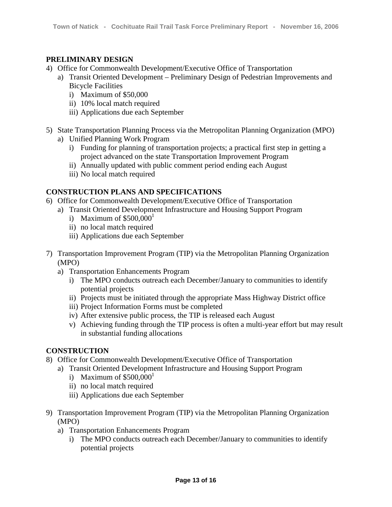## **PRELIMINARY DESIGN**

- 4) Office for Commonwealth Development/Executive Office of Transportation
	- a) Transit Oriented Development Preliminary Design of Pedestrian Improvements and Bicycle Facilities
		- i) Maximum of \$50,000
		- ii) 10% local match required
		- iii) Applications due each September
- 5) State Transportation Planning Process via the Metropolitan Planning Organization (MPO)
	- a) Unified Planning Work Program
		- i) Funding for planning of transportation projects; a practical first step in getting a project advanced on the state Transportation Improvement Program
		- ii) Annually updated with public comment period ending each August
		- iii) No local match required

# **CONSTRUCTION PLANS AND SPECIFICATIONS**

- 6) Office for Commonwealth Development/Executive Office of Transportation
	- a) Transit Oriented Development Infrastructure and Housing Support Program
		- i) Maximum of  $$500,000<sup>1</sup>$
		- ii) no local match required
		- iii) Applications due each September
- 7) Transportation Improvement Program (TIP) via the Metropolitan Planning Organization (MPO)
	- a) Transportation Enhancements Program
		- i) The MPO conducts outreach each December/January to communities to identify potential projects
		- ii) Projects must be initiated through the appropriate Mass Highway District office
		- iii) Project Information Forms must be completed
		- iv) After extensive public process, the TIP is released each August
		- v) Achieving funding through the TIP process is often a multi-year effort but may result in substantial funding allocations

#### **CONSTRUCTION**

- 8) Office for Commonwealth Development/Executive Office of Transportation
	- a) Transit Oriented Development Infrastructure and Housing Support Program
		- i) Maximum of  $$500,000<sup>1</sup>$
		- ii) no local match required
		- iii) Applications due each September
- 9) Transportation Improvement Program (TIP) via the Metropolitan Planning Organization (MPO)
	- a) Transportation Enhancements Program
		- i) The MPO conducts outreach each December/January to communities to identify potential projects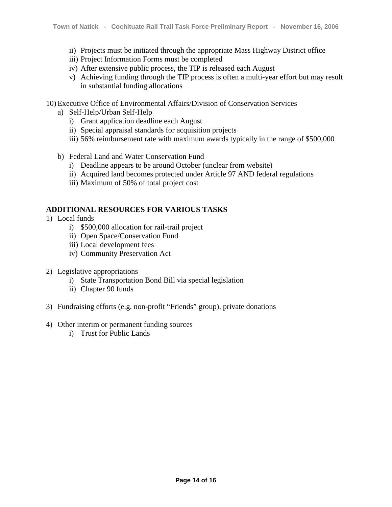- ii) Projects must be initiated through the appropriate Mass Highway District office
- iii) Project Information Forms must be completed
- iv) After extensive public process, the TIP is released each August
- v) Achieving funding through the TIP process is often a multi-year effort but may result in substantial funding allocations

10) Executive Office of Environmental Affairs/Division of Conservation Services

- a) Self-Help/Urban Self-Help
	- i) Grant application deadline each August
	- ii) Special appraisal standards for acquisition projects
	- iii) 56% reimbursement rate with maximum awards typically in the range of \$500,000
- b) Federal Land and Water Conservation Fund
	- i) Deadline appears to be around October (unclear from website)
	- ii) Acquired land becomes protected under Article 97 AND federal regulations
	- iii) Maximum of 50% of total project cost

## **ADDITIONAL RESOURCES FOR VARIOUS TASKS**

- 1) Local funds
	- i) \$500,000 allocation for rail-trail project
	- ii) Open Space/Conservation Fund
	- iii) Local development fees
	- iv) Community Preservation Act
- 2) Legislative appropriations
	- i) State Transportation Bond Bill via special legislation
	- ii) Chapter 90 funds
- 3) Fundraising efforts (e.g. non-profit "Friends" group), private donations
- 4) Other interim or permanent funding sources
	- i) Trust for Public Lands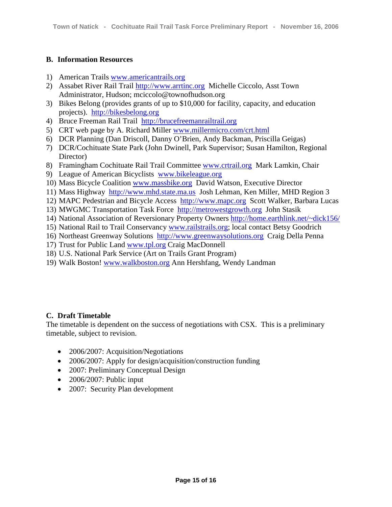## **B. Information Resources**

- 1) American Trails www.americantrails.org
- 2) Assabet River Rail Trail http://www.arrtinc.org Michelle Ciccolo, Asst Town Administrator, Hudson; mciccolo@townofhudson.org
- 3) Bikes Belong (provides grants of up to \$10,000 for facility, capacity, and education projects). http://bikesbelong.org
- 4) Bruce Freeman Rail Trail http://brucefreemanrailtrail.org
- 5) CRT web page by A. Richard Miller www.millermicro.com/crt.html
- 6) DCR Planning (Dan Driscoll, Danny O'Brien, Andy Backman, Priscilla Geigas)
- 7) DCR/Cochituate State Park (John Dwinell, Park Supervisor; Susan Hamilton, Regional Director)
- 8) Framingham Cochituate Rail Trail Committee www.crtrail.org Mark Lamkin, Chair
- 9) League of American Bicyclists www.bikeleague.org
- 10) Mass Bicycle Coalition www.massbike.org David Watson, Executive Director
- 11) Mass Highway http://www.mhd.state.ma.us Josh Lehman, Ken Miller, MHD Region 3
- 12) MAPC Pedestrian and Bicycle Access http://www.mapc.org Scott Walker, Barbara Lucas
- 13) MWGMC Transportation Task Force http://metrowestgrowth.org John Stasik
- 14) National Association of Reversionary Property Owners http://home.earthlink.net/~dick156/
- 15) National Rail to Trail Conservancy www.railstrails.org; local contact Betsy Goodrich
- 16) Northeast Greenway Solutions http://www.greenwaysolutions.org Craig Della Penna
- 17) Trust for Public Land www.tpl.org Craig MacDonnell
- 18) U.S. National Park Service (Art on Trails Grant Program)
- 19) Walk Boston! www.walkboston.org Ann Hershfang, Wendy Landman

#### **C. Draft Timetable**

The timetable is dependent on the success of negotiations with CSX. This is a preliminary timetable, subject to revision.

- 2006/2007: Acquisition/Negotiations
- 2006/2007: Apply for design/acquisition/construction funding
- 2007: Preliminary Conceptual Design
- $\bullet$  2006/2007: Public input
- 2007: Security Plan development